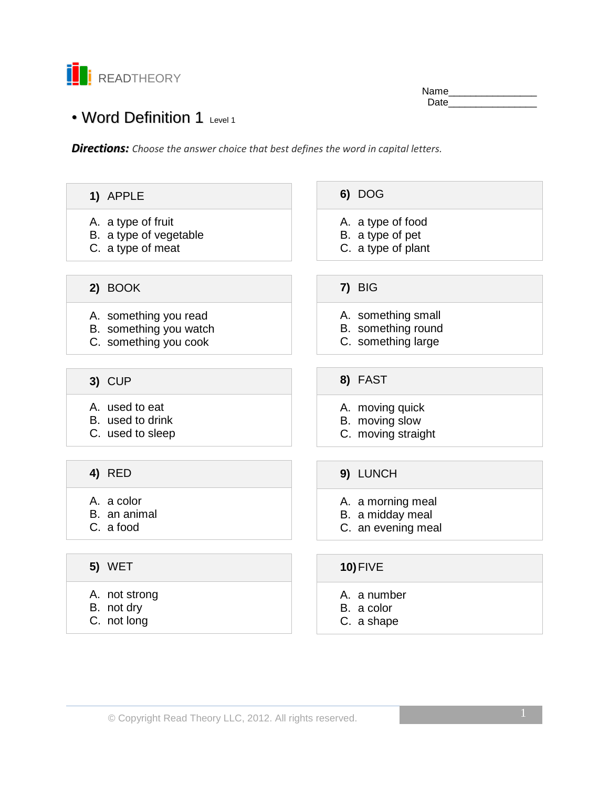

Name\_ Date\_\_\_\_\_\_\_\_\_\_\_\_\_\_\_\_

# • Word Definition 1 Level 1

*Directions: Choose the answer choice that best defines the word in capital letters.*

| 1) APPLE                                        | 6) DOG                                   |
|-------------------------------------------------|------------------------------------------|
| A. a type of fruit                              | A. a type of food                        |
| B. a type of vegetable                          | B. a type of pet                         |
| C. a type of meat                               | C. a type of plant                       |
|                                                 |                                          |
| 2) BOOK                                         | 7) BIG                                   |
|                                                 |                                          |
| A. something you read                           | A. something small<br>B. something round |
| B. something you watch<br>C. something you cook | C. something large                       |
|                                                 |                                          |
|                                                 |                                          |
| 3) CUP                                          | 8) FAST                                  |
| A. used to eat                                  | A. moving quick                          |
| B. used to drink                                | B. moving slow                           |
| C. used to sleep                                | C. moving straight                       |
|                                                 |                                          |
| <b>4) RED</b>                                   | 9) LUNCH                                 |
|                                                 |                                          |
| A. a color                                      | A. a morning meal                        |
| B. an animal                                    | B. a midday meal                         |
| C. a food                                       | C. an evening meal                       |
|                                                 |                                          |
| <b>5) WET</b>                                   | $10$ ) FIVE                              |
| A. not strong                                   | A. a number                              |
| B. not dry                                      | B. a color                               |
| C. not long                                     | C. a shape                               |